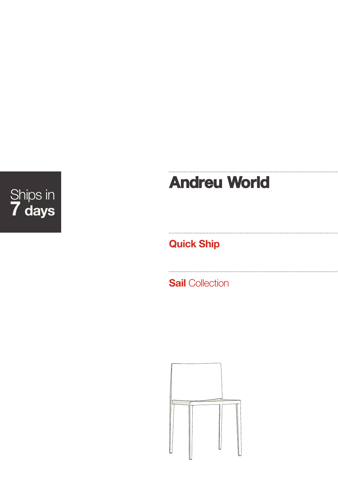## Ships in **7 days**

# **Andreu World**

**Quick Ship**

**Sail** Collection

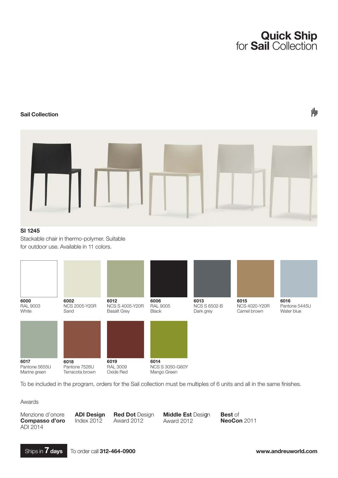

#### **Sail Collection**

### 卟



#### **SI 1245**

Stackable chair in thermo-polymer. Suitable for outdoor use. Available in 11 colors.



To be included in the program, orders for the Sail collection must be multiples of 6 units and all in the same finishes.

Awards

Menzione d'onore **Compasso d'oro** ADI 2014

**ADI Design** Index 2012

**Red Dot** Design Award 2012

**Middle Est** Design Award 2012

**Best** of **NeoCon** 2011



**www.andreuworld.com**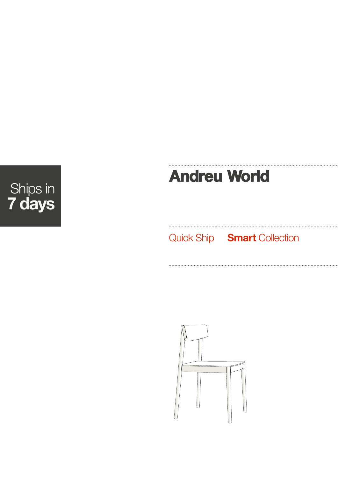

## **Andreu World**

Quick Ship **Smart** Collection

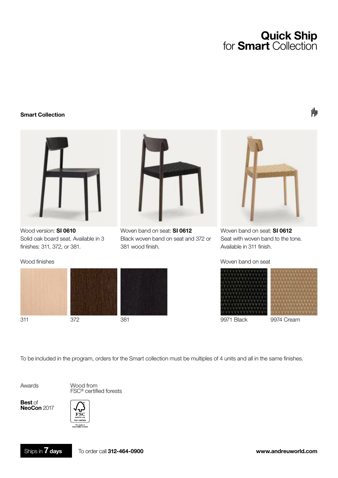### **Quick Ship** for **Smart** Collection

#### **Smart Collection**



Wood version: **SI 0610** Solid oak board seat. Available in 3 finishes: 311, 372, or 381.



Woven band on seat: **SI 0612** Black woven band on seat and 372 or 381 wood finish.

Woven band on seat: **SI 0612** Seat with woven band to the tone. Available in 311 finish.

Woven band on seat





To be included in the program, orders for the Smart collection must be multiples of 4 units and all in the same finishes.

Awards

Wood from FSC® certified forests

**Best** of **NeoCon** 2017

Wood finishes



冷